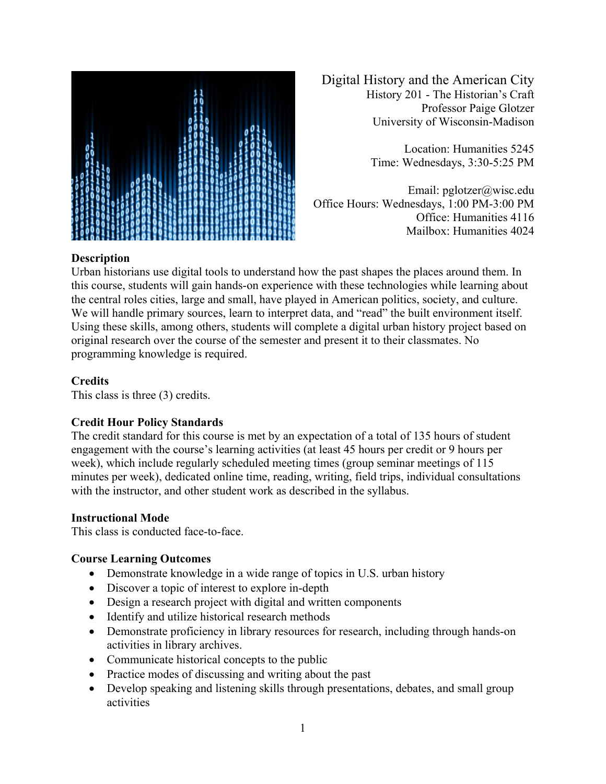

Digital History and the American City History 201 - The Historian's Craft Professor Paige Glotzer University of Wisconsin-Madison

> Location: Humanities 5245 Time: Wednesdays, 3:30-5:25 PM

Email: pglotzer@wisc.edu Office Hours: Wednesdays, 1:00 PM-3:00 PM Office: Humanities 4116 Mailbox: Humanities 4024

# **Description**

Urban historians use digital tools to understand how the past shapes the places around them. In this course, students will gain hands-on experience with these technologies while learning about the central roles cities, large and small, have played in American politics, society, and culture. We will handle primary sources, learn to interpret data, and "read" the built environment itself. Using these skills, among others, students will complete a digital urban history project based on original research over the course of the semester and present it to their classmates. No programming knowledge is required.

# **Credits**

This class is three (3) credits.

# **Credit Hour Policy Standards**

The credit standard for this course is met by an expectation of a total of 135 hours of student engagement with the course's learning activities (at least 45 hours per credit or 9 hours per week), which include regularly scheduled meeting times (group seminar meetings of 115 minutes per week), dedicated online time, reading, writing, field trips, individual consultations with the instructor, and other student work as described in the syllabus.

# **Instructional Mode**

This class is conducted face-to-face.

# **Course Learning Outcomes**

- Demonstrate knowledge in a wide range of topics in U.S. urban history
- Discover a topic of interest to explore in-depth
- Design a research project with digital and written components
- Identify and utilize historical research methods
- Demonstrate proficiency in library resources for research, including through hands-on activities in library archives.
- Communicate historical concepts to the public
- Practice modes of discussing and writing about the past
- Develop speaking and listening skills through presentations, debates, and small group activities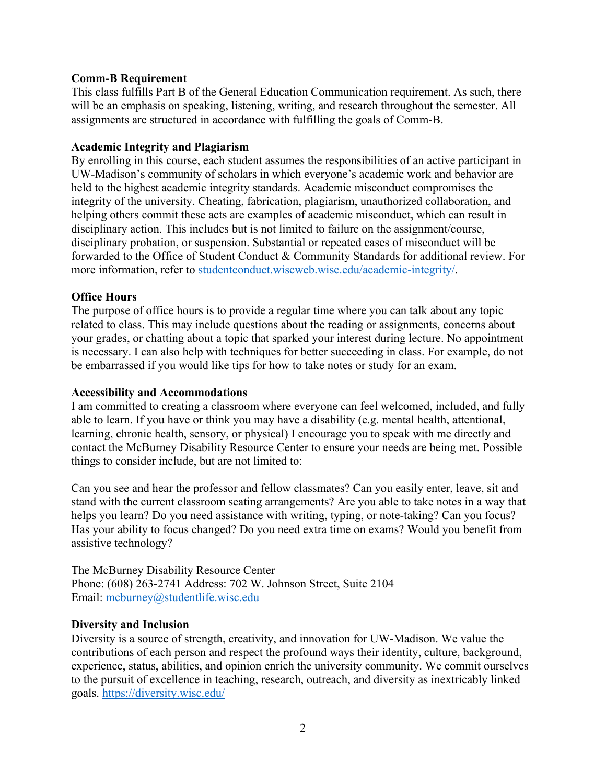### **Comm-B Requirement**

This class fulfills Part B of the General Education Communication requirement. As such, there will be an emphasis on speaking, listening, writing, and research throughout the semester. All assignments are structured in accordance with fulfilling the goals of Comm-B.

### **Academic Integrity and Plagiarism**

By enrolling in this course, each student assumes the responsibilities of an active participant in UW-Madison's community of scholars in which everyone's academic work and behavior are held to the highest academic integrity standards. Academic misconduct compromises the integrity of the university. Cheating, fabrication, plagiarism, unauthorized collaboration, and helping others commit these acts are examples of academic misconduct, which can result in disciplinary action. This includes but is not limited to failure on the assignment/course, disciplinary probation, or suspension. Substantial or repeated cases of misconduct will be forwarded to the Office of Student Conduct & Community Standards for additional review. For more information, refer to studentconduct.wiscweb.wisc.edu/academic-integrity/.

# **Office Hours**

The purpose of office hours is to provide a regular time where you can talk about any topic related to class. This may include questions about the reading or assignments, concerns about your grades, or chatting about a topic that sparked your interest during lecture. No appointment is necessary. I can also help with techniques for better succeeding in class. For example, do not be embarrassed if you would like tips for how to take notes or study for an exam.

### **Accessibility and Accommodations**

I am committed to creating a classroom where everyone can feel welcomed, included, and fully able to learn. If you have or think you may have a disability (e.g. mental health, attentional, learning, chronic health, sensory, or physical) I encourage you to speak with me directly and contact the McBurney Disability Resource Center to ensure your needs are being met. Possible things to consider include, but are not limited to:

Can you see and hear the professor and fellow classmates? Can you easily enter, leave, sit and stand with the current classroom seating arrangements? Are you able to take notes in a way that helps you learn? Do you need assistance with writing, typing, or note-taking? Can you focus? Has your ability to focus changed? Do you need extra time on exams? Would you benefit from assistive technology?

The McBurney Disability Resource Center Phone: (608) 263-2741 Address: 702 W. Johnson Street, Suite 2104 Email: mcburney@studentlife.wisc.edu

### **Diversity and Inclusion**

Diversity is a source of strength, creativity, and innovation for UW-Madison. We value the contributions of each person and respect the profound ways their identity, culture, background, experience, status, abilities, and opinion enrich the university community. We commit ourselves to the pursuit of excellence in teaching, research, outreach, and diversity as inextricably linked goals. https://diversity.wisc.edu/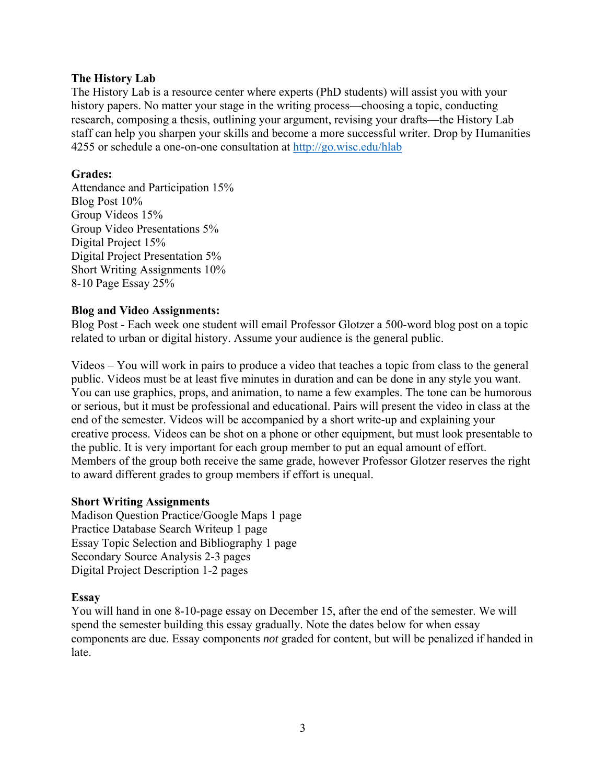#### **The History Lab**

The History Lab is a resource center where experts (PhD students) will assist you with your history papers. No matter your stage in the writing process—choosing a topic, conducting research, composing a thesis, outlining your argument, revising your drafts—the History Lab staff can help you sharpen your skills and become a more successful writer. Drop by Humanities 4255 or schedule a one-on-one consultation at http://go.wisc.edu/hlab

#### **Grades:**

Attendance and Participation 15% Blog Post 10% Group Videos 15% Group Video Presentations 5% Digital Project 15% Digital Project Presentation 5% Short Writing Assignments 10% 8-10 Page Essay 25%

#### **Blog and Video Assignments:**

Blog Post - Each week one student will email Professor Glotzer a 500-word blog post on a topic related to urban or digital history. Assume your audience is the general public.

Videos – You will work in pairs to produce a video that teaches a topic from class to the general public. Videos must be at least five minutes in duration and can be done in any style you want. You can use graphics, props, and animation, to name a few examples. The tone can be humorous or serious, but it must be professional and educational. Pairs will present the video in class at the end of the semester. Videos will be accompanied by a short write-up and explaining your creative process. Videos can be shot on a phone or other equipment, but must look presentable to the public. It is very important for each group member to put an equal amount of effort. Members of the group both receive the same grade, however Professor Glotzer reserves the right to award different grades to group members if effort is unequal.

### **Short Writing Assignments**

Madison Question Practice/Google Maps 1 page Practice Database Search Writeup 1 page Essay Topic Selection and Bibliography 1 page Secondary Source Analysis 2-3 pages Digital Project Description 1-2 pages

### **Essay**

You will hand in one 8-10-page essay on December 15, after the end of the semester. We will spend the semester building this essay gradually. Note the dates below for when essay components are due. Essay components *not* graded for content, but will be penalized if handed in late.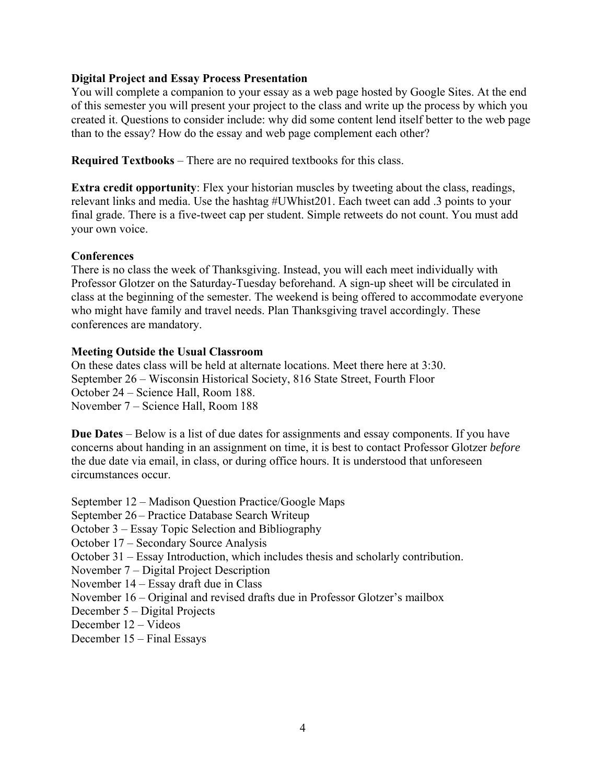### **Digital Project and Essay Process Presentation**

You will complete a companion to your essay as a web page hosted by Google Sites. At the end of this semester you will present your project to the class and write up the process by which you created it. Questions to consider include: why did some content lend itself better to the web page than to the essay? How do the essay and web page complement each other?

**Required Textbooks** – There are no required textbooks for this class.

**Extra credit opportunity**: Flex your historian muscles by tweeting about the class, readings, relevant links and media. Use the hashtag #UWhist201. Each tweet can add .3 points to your final grade. There is a five-tweet cap per student. Simple retweets do not count. You must add your own voice.

#### **Conferences**

There is no class the week of Thanksgiving. Instead, you will each meet individually with Professor Glotzer on the Saturday-Tuesday beforehand. A sign-up sheet will be circulated in class at the beginning of the semester. The weekend is being offered to accommodate everyone who might have family and travel needs. Plan Thanksgiving travel accordingly. These conferences are mandatory.

#### **Meeting Outside the Usual Classroom**

On these dates class will be held at alternate locations. Meet there here at 3:30. September 26 – Wisconsin Historical Society, 816 State Street, Fourth Floor October 24 – Science Hall, Room 188. November 7 – Science Hall, Room 188

**Due Dates** – Below is a list of due dates for assignments and essay components. If you have concerns about handing in an assignment on time, it is best to contact Professor Glotzer *before* the due date via email, in class, or during office hours. It is understood that unforeseen circumstances occur.

September 12 – Madison Question Practice/Google Maps

September 26 – Practice Database Search Writeup

October 3 – Essay Topic Selection and Bibliography

October 17 – Secondary Source Analysis

October 31 – Essay Introduction, which includes thesis and scholarly contribution.

November 7 – Digital Project Description

November 14 – Essay draft due in Class

November 16 – Original and revised drafts due in Professor Glotzer's mailbox

December 5 – Digital Projects

December 12 – Videos

December 15 – Final Essays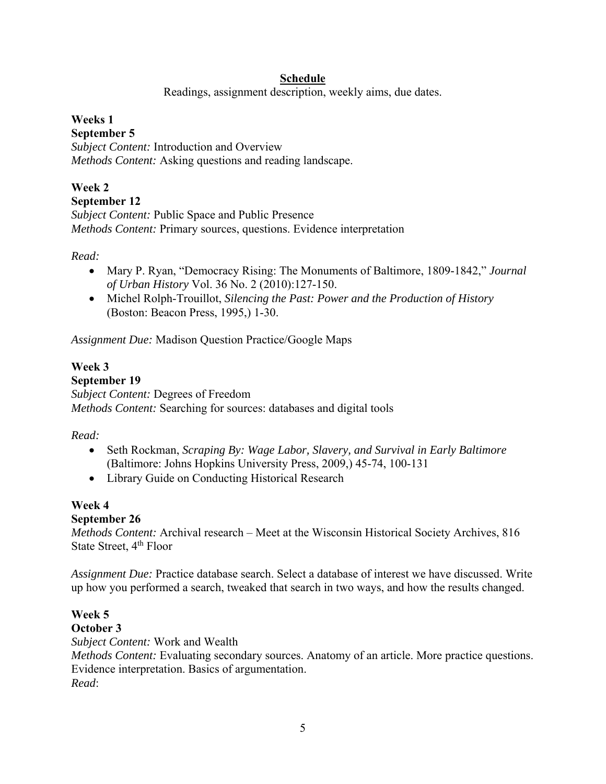# **Schedule**

Readings, assignment description, weekly aims, due dates.

# **Weeks 1**

# **September 5**

*Subject Content:* Introduction and Overview *Methods Content:* Asking questions and reading landscape.

# **Week 2**

### **September 12**

*Subject Content:* Public Space and Public Presence *Methods Content:* Primary sources, questions. Evidence interpretation

# *Read:*

- Mary P. Ryan, "Democracy Rising: The Monuments of Baltimore, 1809-1842," *Journal of Urban History* Vol. 36 No. 2 (2010):127-150.
- Michel Rolph-Trouillot, *Silencing the Past: Power and the Production of History* (Boston: Beacon Press, 1995,) 1-30.

*Assignment Due:* Madison Question Practice/Google Maps

### **Week 3 September 19**  *Subject Content:* Degrees of Freedom *Methods Content:* Searching for sources: databases and digital tools

# *Read:*

- Seth Rockman, *Scraping By: Wage Labor, Slavery, and Survival in Early Baltimore* (Baltimore: Johns Hopkins University Press, 2009,) 45-74, 100-131
- Library Guide on Conducting Historical Research

# **Week 4**

# **September 26**

*Methods Content:* Archival research – Meet at the Wisconsin Historical Society Archives, 816 State Street, 4<sup>th</sup> Floor

*Assignment Due:* Practice database search. Select a database of interest we have discussed. Write up how you performed a search, tweaked that search in two ways, and how the results changed.

# **Week 5**

# **October 3**

*Subject Content:* Work and Wealth

*Methods Content:* Evaluating secondary sources. Anatomy of an article. More practice questions. Evidence interpretation. Basics of argumentation. *Read*: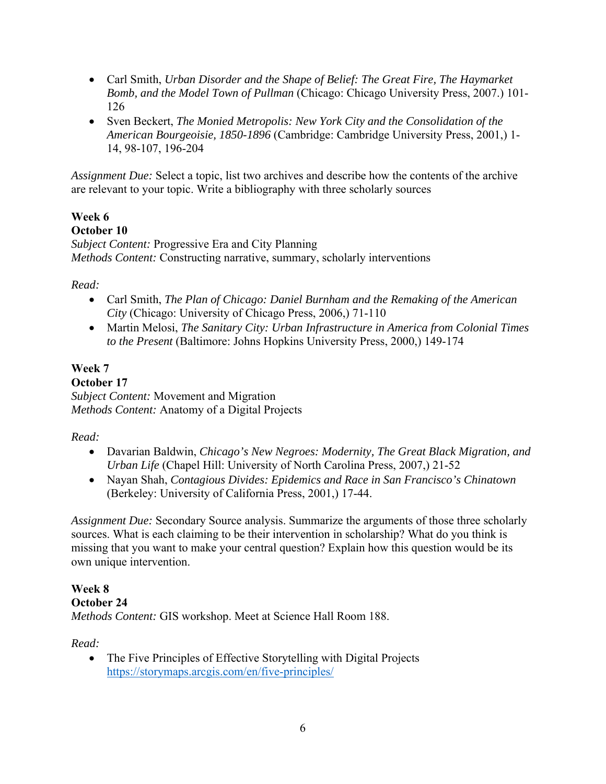- Carl Smith, *Urban Disorder and the Shape of Belief: The Great Fire, The Haymarket Bomb, and the Model Town of Pullman* (Chicago: Chicago University Press, 2007.) 101- 126
- Sven Beckert, *The Monied Metropolis: New York City and the Consolidation of the American Bourgeoisie, 1850-1896* (Cambridge: Cambridge University Press, 2001,) 1- 14, 98-107, 196-204

*Assignment Due:* Select a topic, list two archives and describe how the contents of the archive are relevant to your topic. Write a bibliography with three scholarly sources

# **Week 6**

# **October 10**

*Subject Content:* Progressive Era and City Planning *Methods Content:* Constructing narrative, summary, scholarly interventions

# *Read:*

- Carl Smith, *The Plan of Chicago: Daniel Burnham and the Remaking of the American City* (Chicago: University of Chicago Press, 2006,) 71-110
- Martin Melosi, *The Sanitary City: Urban Infrastructure in America from Colonial Times to the Present* (Baltimore: Johns Hopkins University Press, 2000,) 149-174

# **Week 7**

# **October 17**

*Subject Content:* Movement and Migration *Methods Content:* Anatomy of a Digital Projects

# *Read:*

- Davarian Baldwin, *Chicago's New Negroes: Modernity, The Great Black Migration, and Urban Life* (Chapel Hill: University of North Carolina Press, 2007,) 21-52
- Nayan Shah, *Contagious Divides: Epidemics and Race in San Francisco's Chinatown*  (Berkeley: University of California Press, 2001,) 17-44.

*Assignment Due:* Secondary Source analysis. Summarize the arguments of those three scholarly sources. What is each claiming to be their intervention in scholarship? What do you think is missing that you want to make your central question? Explain how this question would be its own unique intervention.

# **Week 8**

# **October 24**

*Methods Content:* GIS workshop. Meet at Science Hall Room 188.

*Read:* 

 The Five Principles of Effective Storytelling with Digital Projects https://storymaps.arcgis.com/en/five-principles/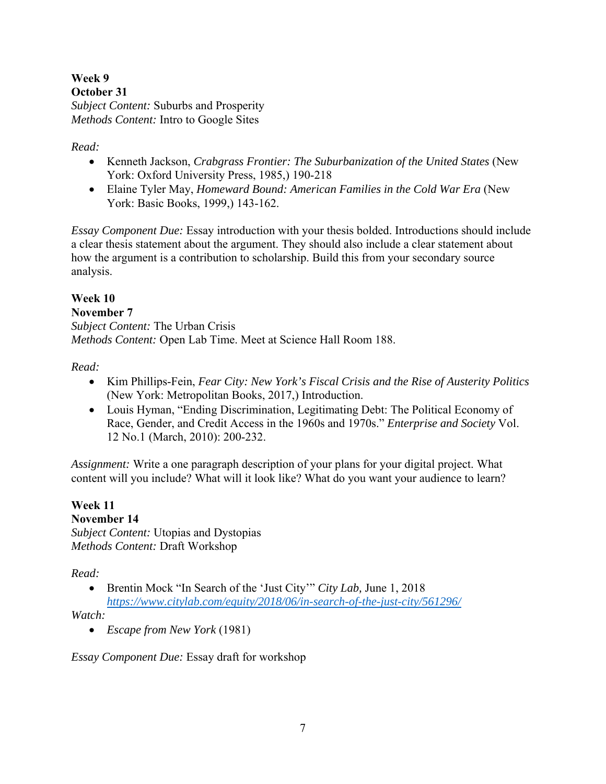**Week 9 October 31**  *Subject Content:* Suburbs and Prosperity *Methods Content:* Intro to Google Sites

# *Read:*

- Kenneth Jackson, *Crabgrass Frontier: The Suburbanization of the United States* (New York: Oxford University Press, 1985,) 190-218
- Elaine Tyler May, *Homeward Bound: American Families in the Cold War Era* (New York: Basic Books, 1999,) 143-162.

*Essay Component Due:* Essay introduction with your thesis bolded. Introductions should include a clear thesis statement about the argument. They should also include a clear statement about how the argument is a contribution to scholarship. Build this from your secondary source analysis.

# **Week 10**

### **November 7**

*Subject Content:* The Urban Crisis *Methods Content:* Open Lab Time. Meet at Science Hall Room 188.

# *Read:*

- Kim Phillips-Fein, *Fear City: New York's Fiscal Crisis and the Rise of Austerity Politics* (New York: Metropolitan Books, 2017,) Introduction.
- Louis Hyman, "Ending Discrimination, Legitimating Debt: The Political Economy of Race, Gender, and Credit Access in the 1960s and 1970s." *Enterprise and Society* Vol. 12 No.1 (March, 2010): 200-232.

*Assignment:* Write a one paragraph description of your plans for your digital project. What content will you include? What will it look like? What do you want your audience to learn?

**Week 11 November 14**  *Subject Content:* Utopias and Dystopias *Methods Content:* Draft Workshop

# *Read:*

 Brentin Mock "In Search of the 'Just City'" *City Lab,* June 1, 2018 *https://www.citylab.com/equity/2018/06/in-search-of-the-just-city/561296/* 

*Watch:* 

*Escape from New York* (1981)

*Essay Component Due:* Essay draft for workshop